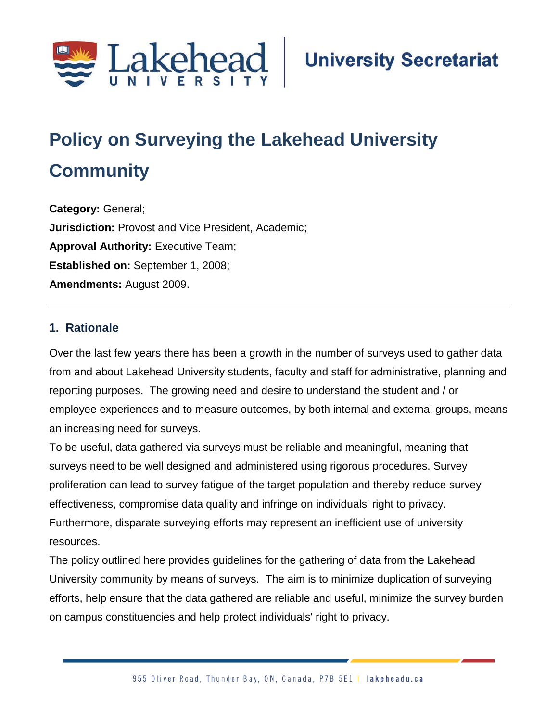

# **Policy on Surveying the Lakehead University Community**

**Category:** General; **Jurisdiction:** Provost and Vice President, Academic; **Approval Authority:** Executive Team; **Established on:** September 1, 2008; **Amendments:** August 2009.

#### **1. Rationale**

Over the last few years there has been a growth in the number of surveys used to gather data from and about Lakehead University students, faculty and staff for administrative, planning and reporting purposes. The growing need and desire to understand the student and / or employee experiences and to measure outcomes, by both internal and external groups, means an increasing need for surveys.

To be useful, data gathered via surveys must be reliable and meaningful, meaning that surveys need to be well designed and administered using rigorous procedures. Survey proliferation can lead to survey fatigue of the target population and thereby reduce survey effectiveness, compromise data quality and infringe on individuals' right to privacy. Furthermore, disparate surveying efforts may represent an inefficient use of university resources.

The policy outlined here provides guidelines for the gathering of data from the Lakehead University community by means of surveys. The aim is to minimize duplication of surveying efforts, help ensure that the data gathered are reliable and useful, minimize the survey burden on campus constituencies and help protect individuals' right to privacy.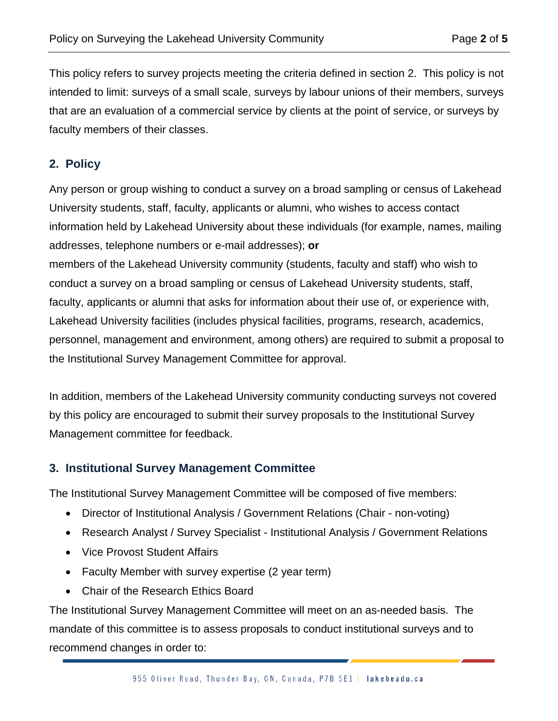This policy refers to survey projects meeting the criteria defined in section 2. This policy is not intended to limit: surveys of a small scale, surveys by labour unions of their members, surveys that are an evaluation of a commercial service by clients at the point of service, or surveys by faculty members of their classes.

### **2. Policy**

Any person or group wishing to conduct a survey on a broad sampling or census of Lakehead University students, staff, faculty, applicants or alumni, who wishes to access contact information held by Lakehead University about these individuals (for example, names, mailing addresses, telephone numbers or e-mail addresses); **or**

members of the Lakehead University community (students, faculty and staff) who wish to conduct a survey on a broad sampling or census of Lakehead University students, staff, faculty, applicants or alumni that asks for information about their use of, or experience with, Lakehead University facilities (includes physical facilities, programs, research, academics, personnel, management and environment, among others) are required to submit a proposal to the Institutional Survey Management Committee for approval.

In addition, members of the Lakehead University community conducting surveys not covered by this policy are encouraged to submit their survey proposals to the Institutional Survey Management committee for feedback.

#### **3. Institutional Survey Management Committee**

The Institutional Survey Management Committee will be composed of five members:

- Director of Institutional Analysis / Government Relations (Chair non-voting)
- Research Analyst / Survey Specialist Institutional Analysis / Government Relations
- Vice Provost Student Affairs
- Faculty Member with survey expertise (2 year term)
- Chair of the Research Ethics Board

The Institutional Survey Management Committee will meet on an as-needed basis. The mandate of this committee is to assess proposals to conduct institutional surveys and to recommend changes in order to: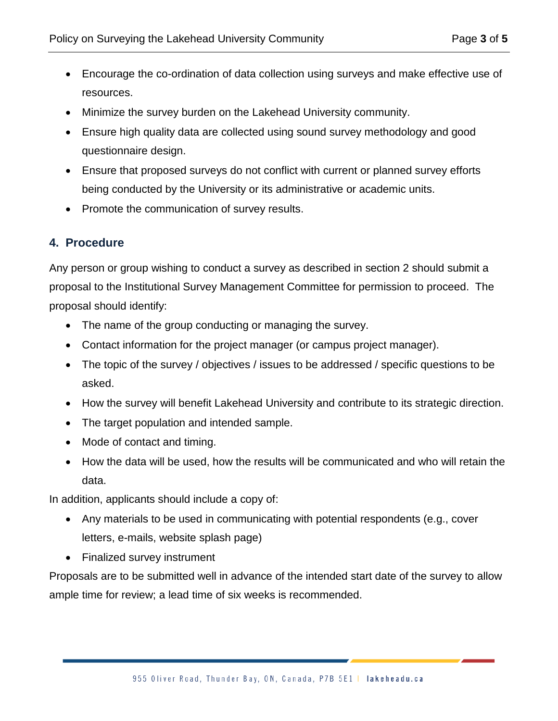- Encourage the co-ordination of data collection using surveys and make effective use of resources.
- Minimize the survey burden on the Lakehead University community.
- Ensure high quality data are collected using sound survey methodology and good questionnaire design.
- Ensure that proposed surveys do not conflict with current or planned survey efforts being conducted by the University or its administrative or academic units.
- Promote the communication of survey results.

## **4. Procedure**

Any person or group wishing to conduct a survey as described in section 2 should submit a proposal to the Institutional Survey Management Committee for permission to proceed. The proposal should identify:

- The name of the group conducting or managing the survey.
- Contact information for the project manager (or campus project manager).
- The topic of the survey / objectives / issues to be addressed / specific questions to be asked.
- How the survey will benefit Lakehead University and contribute to its strategic direction.
- The target population and intended sample.
- Mode of contact and timing.
- How the data will be used, how the results will be communicated and who will retain the data.

In addition, applicants should include a copy of:

- Any materials to be used in communicating with potential respondents (e.g., cover letters, e-mails, website splash page)
- Finalized survey instrument

Proposals are to be submitted well in advance of the intended start date of the survey to allow ample time for review; a lead time of six weeks is recommended.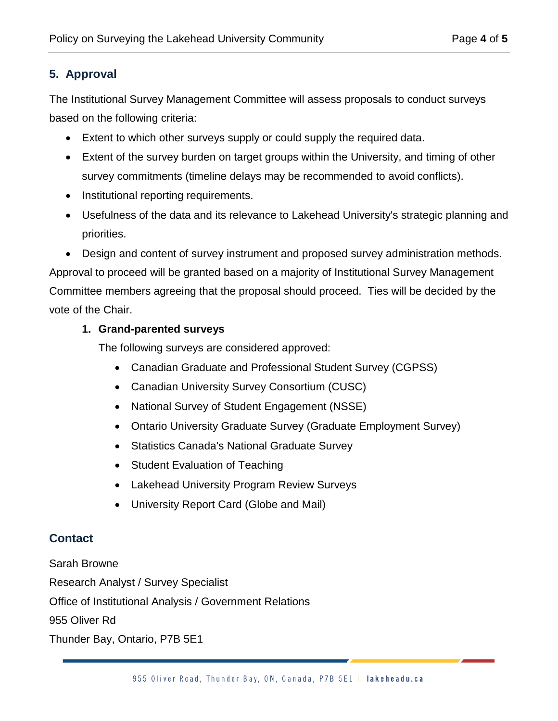# **5. Approval**

The Institutional Survey Management Committee will assess proposals to conduct surveys based on the following criteria:

- Extent to which other surveys supply or could supply the required data.
- Extent of the survey burden on target groups within the University, and timing of other survey commitments (timeline delays may be recommended to avoid conflicts).
- Institutional reporting requirements.
- Usefulness of the data and its relevance to Lakehead University's strategic planning and priorities.
- Design and content of survey instrument and proposed survey administration methods.

Approval to proceed will be granted based on a majority of Institutional Survey Management Committee members agreeing that the proposal should proceed. Ties will be decided by the vote of the Chair.

#### **1. Grand-parented surveys**

The following surveys are considered approved:

- Canadian Graduate and Professional Student Survey (CGPSS)
- Canadian University Survey Consortium (CUSC)
- National Survey of Student Engagement (NSSE)
- Ontario University Graduate Survey (Graduate Employment Survey)
- Statistics Canada's National Graduate Survey
- Student Evaluation of Teaching
- Lakehead University Program Review Surveys
- University Report Card (Globe and Mail)

# **Contact**

Sarah Browne

Research Analyst / Survey Specialist

Office of Institutional Analysis / Government Relations

955 Oliver Rd

Thunder Bay, Ontario, P7B 5E1